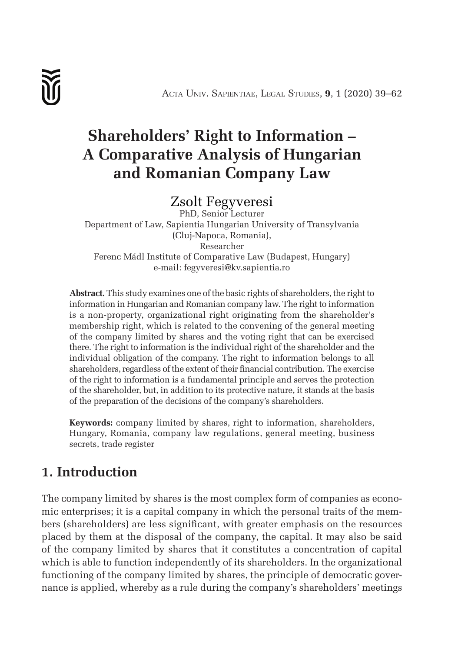# **Shareholders' Right to Information – A Comparative Analysis of Hungarian and Romanian Company Law**

## Zsolt Fegyveresi

PhD, Senior Lecturer Department of Law, Sapientia Hungarian University of Transylvania (Cluj-Napoca, Romania), Researcher Ferenc Mádl Institute of Comparative Law (Budapest, Hungary) e-mail: fegyveresi@kv.sapientia.ro

**Abstract.** This study examines one of the basic rights of shareholders, the right to information in Hungarian and Romanian company law. The right to information is a non-property, organizational right originating from the shareholder's membership right, which is related to the convening of the general meeting of the company limited by shares and the voting right that can be exercised there. The right to information is the individual right of the shareholder and the individual obligation of the company. The right to information belongs to all shareholders, regardless of the extent of their financial contribution. The exercise of the right to information is a fundamental principle and serves the protection of the shareholder, but, in addition to its protective nature, it stands at the basis of the preparation of the decisions of the company's shareholders.

**Keywords:** company limited by shares, right to information, shareholders, Hungary, Romania, company law regulations, general meeting, business secrets, trade register

# **1. Introduction**

The company limited by shares is the most complex form of companies as economic enterprises; it is a capital company in which the personal traits of the members (shareholders) are less significant, with greater emphasis on the resources placed by them at the disposal of the company, the capital. It may also be said of the company limited by shares that it constitutes a concentration of capital which is able to function independently of its shareholders. In the organizational functioning of the company limited by shares, the principle of democratic governance is applied, whereby as a rule during the company's shareholders' meetings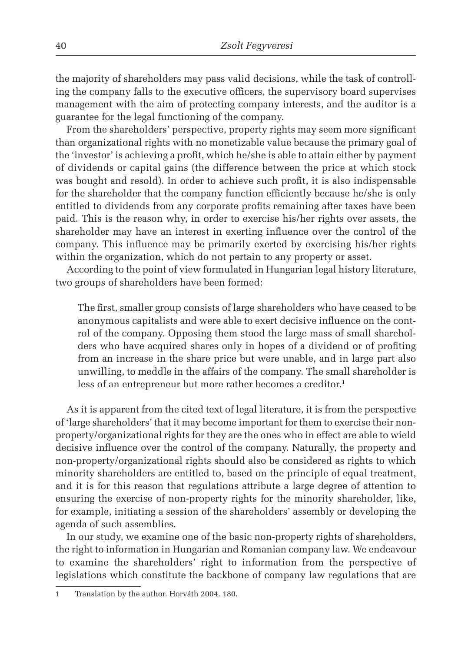the majority of shareholders may pass valid decisions, while the task of controlling the company falls to the executive officers, the supervisory board supervises management with the aim of protecting company interests, and the auditor is a guarantee for the legal functioning of the company.

From the shareholders' perspective, property rights may seem more significant than organizational rights with no monetizable value because the primary goal of the 'investor' is achieving a profit, which he/she is able to attain either by payment of dividends or capital gains (the difference between the price at which stock was bought and resold). In order to achieve such profit, it is also indispensable for the shareholder that the company function efficiently because he/she is only entitled to dividends from any corporate profits remaining after taxes have been paid. This is the reason why, in order to exercise his/her rights over assets, the shareholder may have an interest in exerting influence over the control of the company. This influence may be primarily exerted by exercising his/her rights within the organization, which do not pertain to any property or asset.

According to the point of view formulated in Hungarian legal history literature, two groups of shareholders have been formed:

The first, smaller group consists of large shareholders who have ceased to be anonymous capitalists and were able to exert decisive influence on the control of the company. Opposing them stood the large mass of small shareholders who have acquired shares only in hopes of a dividend or of profiting from an increase in the share price but were unable, and in large part also unwilling, to meddle in the affairs of the company. The small shareholder is less of an entrepreneur but more rather becomes a creditor.<sup>1</sup>

As it is apparent from the cited text of legal literature, it is from the perspective of 'large shareholders' that it may become important for them to exercise their nonproperty/organizational rights for they are the ones who in effect are able to wield decisive influence over the control of the company. Naturally, the property and non-property/organizational rights should also be considered as rights to which minority shareholders are entitled to, based on the principle of equal treatment, and it is for this reason that regulations attribute a large degree of attention to ensuring the exercise of non-property rights for the minority shareholder, like, for example, initiating a session of the shareholders' assembly or developing the agenda of such assemblies.

In our study, we examine one of the basic non-property rights of shareholders, the right to information in Hungarian and Romanian company law. We endeavour to examine the shareholders' right to information from the perspective of legislations which constitute the backbone of company law regulations that are

<sup>1</sup> Translation by the author. Horváth 2004. 180.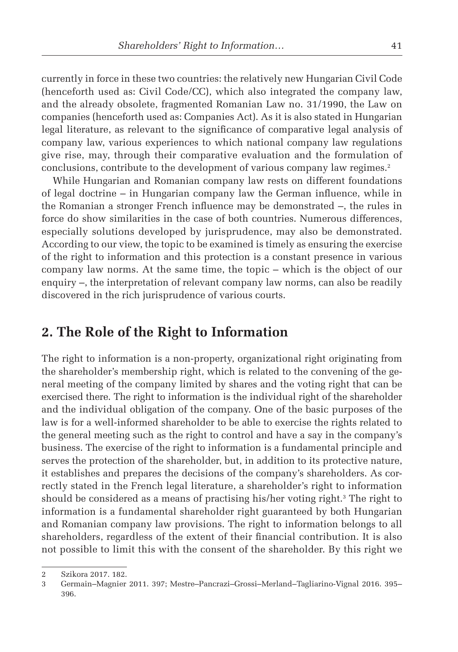currently in force in these two countries: the relatively new Hungarian Civil Code (henceforth used as: Civil Code/CC), which also integrated the company law, and the already obsolete, fragmented Romanian Law no. 31/1990, the Law on companies (henceforth used as: Companies Act). As it is also stated in Hungarian legal literature, as relevant to the significance of comparative legal analysis of company law, various experiences to which national company law regulations give rise, may, through their comparative evaluation and the formulation of conclusions, contribute to the development of various company law regimes.<sup>2</sup>

While Hungarian and Romanian company law rests on different foundations of legal doctrine  $-$  in Hungarian company law the German influence, while in the Romanian a stronger French influence may be demonstrated  $-$ , the rules in force do show similarities in the case of both countries. Numerous differences, especially solutions developed by jurisprudence, may also be demonstrated. According to our view, the topic to be examined is timely as ensuring the exercise of the right to information and this protection is a constant presence in various company law norms. At the same time, the topic – which is the object of our enquiry –, the interpretation of relevant company law norms, can also be readily discovered in the rich jurisprudence of various courts.

### **2. The Role of the Right to Information**

The right to information is a non-property, organizational right originating from the shareholder's membership right, which is related to the convening of the general meeting of the company limited by shares and the voting right that can be exercised there. The right to information is the individual right of the shareholder and the individual obligation of the company. One of the basic purposes of the law is for a well-informed shareholder to be able to exercise the rights related to the general meeting such as the right to control and have a say in the company's business. The exercise of the right to information is a fundamental principle and serves the protection of the shareholder, but, in addition to its protective nature, it establishes and prepares the decisions of the company's shareholders. As correctly stated in the French legal literature, a shareholder's right to information should be considered as a means of practising his/her voting right.3 The right to information is a fundamental shareholder right guaranteed by both Hungarian and Romanian company law provisions. The right to information belongs to all shareholders, regardless of the extent of their financial contribution. It is also not possible to limit this with the consent of the shareholder. By this right we

<sup>2</sup> Szikora 2017. 182.

<sup>3</sup> Germain–Magnier 2011. 397; Mestre–Pancrazi–Grossi–Merland–Tagliarino-Vignal 2016. 395– 396.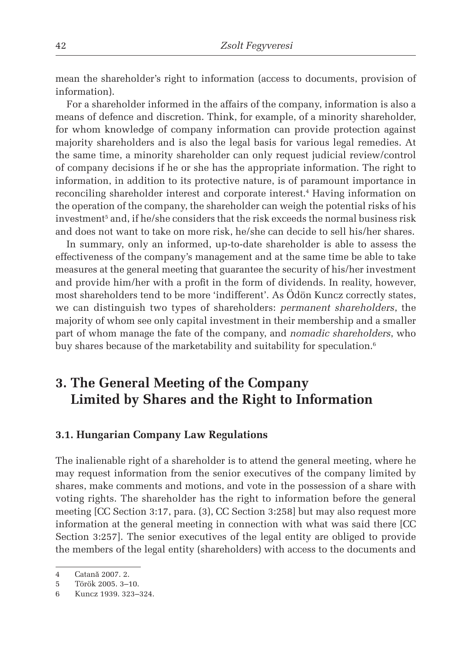mean the shareholder's right to information (access to documents, provision of information).

For a shareholder informed in the affairs of the company, information is also a means of defence and discretion. Think, for example, of a minority shareholder, for whom knowledge of company information can provide protection against majority shareholders and is also the legal basis for various legal remedies. At the same time, a minority shareholder can only request judicial review/control of company decisions if he or she has the appropriate information. The right to information, in addition to its protective nature, is of paramount importance in reconciling shareholder interest and corporate interest.4 Having information on the operation of the company, the shareholder can weigh the potential risks of his  $\frac{1}{2}$  investment $^5$  and, if he/she considers that the risk exceeds the normal business risk and does not want to take on more risk, he/she can decide to sell his/her shares.

In summary, only an informed, up-to-date shareholder is able to assess the effectiveness of the company's management and at the same time be able to take measures at the general meeting that guarantee the security of his/her investment and provide him/her with a profit in the form of dividends. In reality, however, most shareholders tend to be more 'indifferent'. As Ödön Kuncz correctly states, we can distinguish two types of shareholders: *permanent shareholders*, the majority of whom see only capital investment in their membership and a smaller part of whom manage the fate of the company, and *nomadic shareholders*, who buy shares because of the marketability and suitability for speculation.<sup>6</sup>

# **3. The General Meeting of the Company Limited by Shares and the Right to Information**

#### **3.1. Hungarian Company Law Regulations**

The inalienable right of a shareholder is to attend the general meeting, where he may request information from the senior executives of the company limited by shares, make comments and motions, and vote in the possession of a share with voting rights. The shareholder has the right to information before the general meeting [CC Section 3:17, para. (3), CC Section 3:258] but may also request more information at the general meeting in connection with what was said there [CC Section 3:257]. The senior executives of the legal entity are obliged to provide the members of the legal entity (shareholders) with access to the documents and

<sup>4</sup> Catană 2007. 2.

<sup>5</sup> Török 2005. 3–10.

<sup>6</sup> Kuncz 1939. 323–324.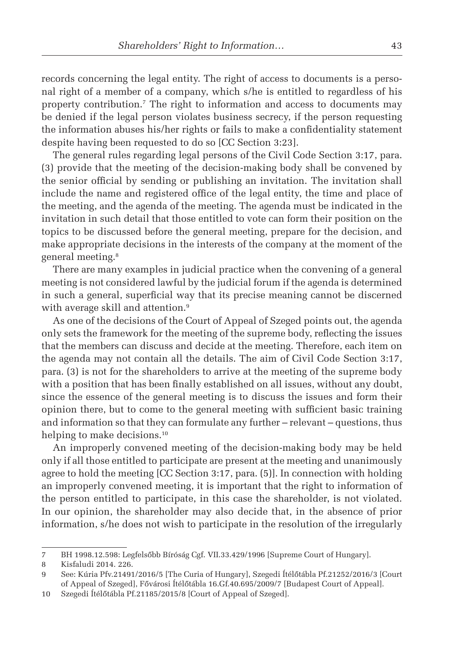records concerning the legal entity. The right of access to documents is a personal right of a member of a company, which s/he is entitled to regardless of his property contribution.7 The right to information and access to documents may be denied if the legal person violates business secrecy, if the person requesting the information abuses his/her rights or fails to make a confidentiality statement despite having been requested to do so [CC Section 3:23].

The general rules regarding legal persons of the Civil Code Section 3:17, para. (3) provide that the meeting of the decision-making body shall be convened by the senior official by sending or publishing an invitation. The invitation shall include the name and registered office of the legal entity, the time and place of the meeting, and the agenda of the meeting. The agenda must be indicated in the invitation in such detail that those entitled to vote can form their position on the topics to be discussed before the general meeting, prepare for the decision, and make appropriate decisions in the interests of the company at the moment of the general meeting.8

There are many examples in judicial practice when the convening of a general meeting is not considered lawful by the judicial forum if the agenda is determined in such a general, superficial way that its precise meaning cannot be discerned with average skill and attention.<sup>9</sup>

As one of the decisions of the Court of Appeal of Szeged points out, the agenda only sets the framework for the meeting of the supreme body, reflecting the issues that the members can discuss and decide at the meeting. Therefore, each item on the agenda may not contain all the details. The aim of Civil Code Section 3:17, para. (3) is not for the shareholders to arrive at the meeting of the supreme body with a position that has been finally established on all issues, without any doubt, since the essence of the general meeting is to discuss the issues and form their opinion there, but to come to the general meeting with sufficient basic training and information so that they can formulate any further – relevant – questions, thus helping to make decisions.<sup>10</sup>

An improperly convened meeting of the decision-making body may be held only if all those entitled to participate are present at the meeting and unanimously agree to hold the meeting [CC Section 3:17, para. (5)]. In connection with holding an improperly convened meeting, it is important that the right to information of the person entitled to participate, in this case the shareholder, is not violated. In our opinion, the shareholder may also decide that, in the absence of prior information, s/he does not wish to participate in the resolution of the irregularly

<sup>7</sup> BH 1998.12.598: Legfelsőbb Bíróság Cgf. VII.33.429/1996 [Supreme Court of Hungary].

<sup>8</sup> Kisfaludi 2014. 226.

<sup>9</sup> See: Kúria Pfv.21491/2016/5 [The Curia of Hungary], Szegedi Ítélőtábla Pf.21252/2016/3 [Court of Appeal of Szeged], Fővárosi Ítélőtábla 16.Gf.40.695/2009/7 [Budapest Court of Appeal].

<sup>10</sup> Szegedi Ítélőtábla Pf.21185/2015/8 [Court of Appeal of Szeged].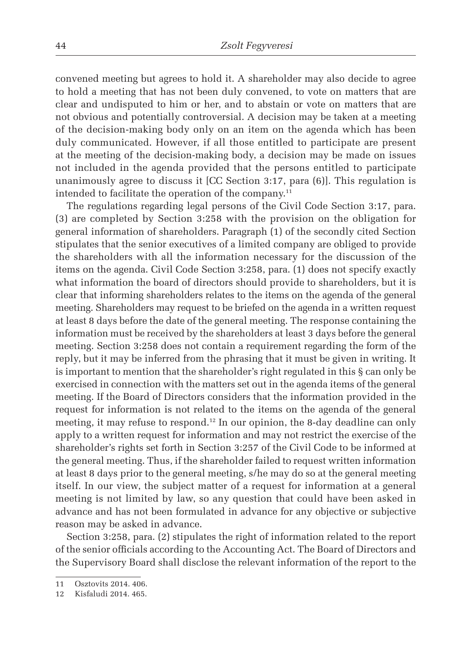convened meeting but agrees to hold it. A shareholder may also decide to agree to hold a meeting that has not been duly convened, to vote on matters that are clear and undisputed to him or her, and to abstain or vote on matters that are not obvious and potentially controversial. A decision may be taken at a meeting of the decision-making body only on an item on the agenda which has been duly communicated. However, if all those entitled to participate are present at the meeting of the decision-making body, a decision may be made on issues not included in the agenda provided that the persons entitled to participate unanimously agree to discuss it [CC Section 3:17, para (6)]. This regulation is intended to facilitate the operation of the company.11

The regulations regarding legal persons of the Civil Code Section 3:17, para. (3) are completed by Section 3:258 with the provision on the obligation for general information of shareholders. Paragraph (1) of the secondly cited Section stipulates that the senior executives of a limited company are obliged to provide the shareholders with all the information necessary for the discussion of the items on the agenda. Civil Code Section 3:258, para. (1) does not specify exactly what information the board of directors should provide to shareholders, but it is clear that informing shareholders relates to the items on the agenda of the general meeting. Shareholders may request to be briefed on the agenda in a written request at least 8 days before the date of the general meeting. The response containing the information must be received by the shareholders at least 3 days before the general meeting. Section 3:258 does not contain a requirement regarding the form of the reply, but it may be inferred from the phrasing that it must be given in writing. It is important to mention that the shareholder's right regulated in this § can only be exercised in connection with the matters set out in the agenda items of the general meeting. If the Board of Directors considers that the information provided in the request for information is not related to the items on the agenda of the general meeting, it may refuse to respond.12 In our opinion, the 8-day deadline can only apply to a written request for information and may not restrict the exercise of the shareholder's rights set forth in Section 3:257 of the Civil Code to be informed at the general meeting. Thus, if the shareholder failed to request written information at least 8 days prior to the general meeting, s/he may do so at the general meeting itself. In our view, the subject matter of a request for information at a general meeting is not limited by law, so any question that could have been asked in advance and has not been formulated in advance for any objective or subjective reason may be asked in advance.

Section 3:258, para. (2) stipulates the right of information related to the report of the senior officials according to the Accounting Act. The Board of Directors and the Supervisory Board shall disclose the relevant information of the report to the

<sup>11</sup> Osztovits 2014. 406.

<sup>12</sup> Kisfaludi 2014. 465.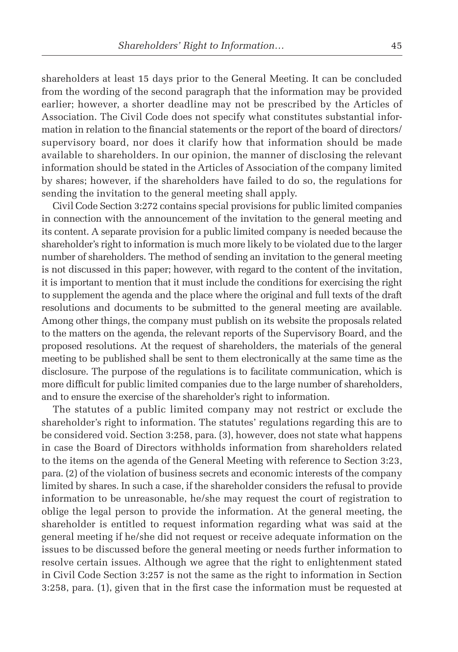shareholders at least 15 days prior to the General Meeting. It can be concluded from the wording of the second paragraph that the information may be provided earlier; however, a shorter deadline may not be prescribed by the Articles of Association. The Civil Code does not specify what constitutes substantial information in relation to the financial statements or the report of the board of directors/ supervisory board, nor does it clarify how that information should be made available to shareholders. In our opinion, the manner of disclosing the relevant information should be stated in the Articles of Association of the company limited by shares; however, if the shareholders have failed to do so, the regulations for sending the invitation to the general meeting shall apply.

Civil Code Section 3:272 contains special provisions for public limited companies in connection with the announcement of the invitation to the general meeting and its content. A separate provision for a public limited company is needed because the shareholder's right to information is much more likely to be violated due to the larger number of shareholders. The method of sending an invitation to the general meeting is not discussed in this paper; however, with regard to the content of the invitation, it is important to mention that it must include the conditions for exercising the right to supplement the agenda and the place where the original and full texts of the draft resolutions and documents to be submitted to the general meeting are available. Among other things, the company must publish on its website the proposals related to the matters on the agenda, the relevant reports of the Supervisory Board, and the proposed resolutions. At the request of shareholders, the materials of the general meeting to be published shall be sent to them electronically at the same time as the disclosure. The purpose of the regulations is to facilitate communication, which is more difficult for public limited companies due to the large number of shareholders, and to ensure the exercise of the shareholder's right to information.

The statutes of a public limited company may not restrict or exclude the shareholder's right to information. The statutes' regulations regarding this are to be considered void. Section 3:258, para. (3), however, does not state what happens in case the Board of Directors withholds information from shareholders related to the items on the agenda of the General Meeting with reference to Section 3:23, para. (2) of the violation of business secrets and economic interests of the company limited by shares. In such a case, if the shareholder considers the refusal to provide information to be unreasonable, he/she may request the court of registration to oblige the legal person to provide the information. At the general meeting, the shareholder is entitled to request information regarding what was said at the general meeting if he/she did not request or receive adequate information on the issues to be discussed before the general meeting or needs further information to resolve certain issues. Although we agree that the right to enlightenment stated in Civil Code Section 3:257 is not the same as the right to information in Section 3:258, para. (1), given that in the first case the information must be requested at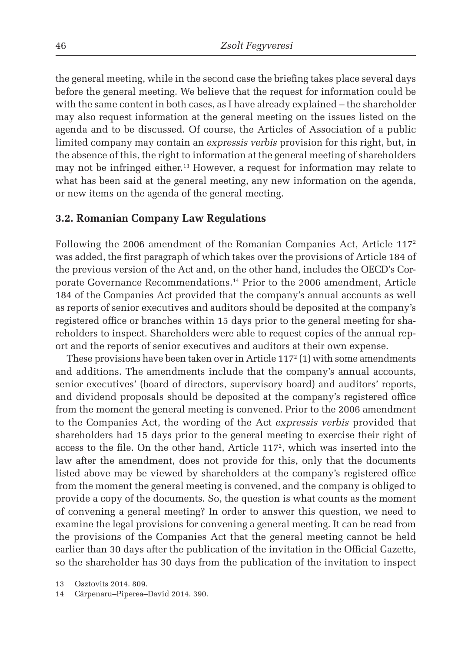the general meeting, while in the second case the briefing takes place several days before the general meeting. We believe that the request for information could be with the same content in both cases, as I have already explained – the shareholder may also request information at the general meeting on the issues listed on the agenda and to be discussed. Of course, the Articles of Association of a public limited company may contain an *expressis verbis* provision for this right, but, in the absence of this, the right to information at the general meeting of shareholders may not be infringed either.13 However, a request for information may relate to what has been said at the general meeting, any new information on the agenda, or new items on the agenda of the general meeting.

#### **3.2. Romanian Company Law Regulations**

Following the 2006 amendment of the Romanian Companies Act, Article 1172 was added, the first paragraph of which takes over the provisions of Article 184 of the previous version of the Act and, on the other hand, includes the OECD's Corporate Governance Recommendations.14 Prior to the 2006 amendment, Article 184 of the Companies Act provided that the company's annual accounts as well as reports of senior executives and auditors should be deposited at the company's registered office or branches within 15 days prior to the general meeting for shareholders to inspect. Shareholders were able to request copies of the annual report and the reports of senior executives and auditors at their own expense.

These provisions have been taken over in Article 117 $^{\circ}$  (1) with some amendments and additions. The amendments include that the company's annual accounts, senior executives' (board of directors, supervisory board) and auditors' reports, and dividend proposals should be deposited at the company's registered office from the moment the general meeting is convened. Prior to the 2006 amendment to the Companies Act, the wording of the Act *expressis verbis* provided that shareholders had 15 days prior to the general meeting to exercise their right of access to the file. On the other hand, Article 117<sup>2</sup>, which was inserted into the law after the amendment, does not provide for this, only that the documents listed above may be viewed by shareholders at the company's registered office from the moment the general meeting is convened, and the company is obliged to provide a copy of the documents. So, the question is what counts as the moment of convening a general meeting? In order to answer this question, we need to examine the legal provisions for convening a general meeting. It can be read from the provisions of the Companies Act that the general meeting cannot be held earlier than 30 days after the publication of the invitation in the Official Gazette, so the shareholder has 30 days from the publication of the invitation to inspect

<sup>13</sup> Osztovits 2014. 809.

<sup>14</sup> Cărpenaru–Piperea–David 2014. 390.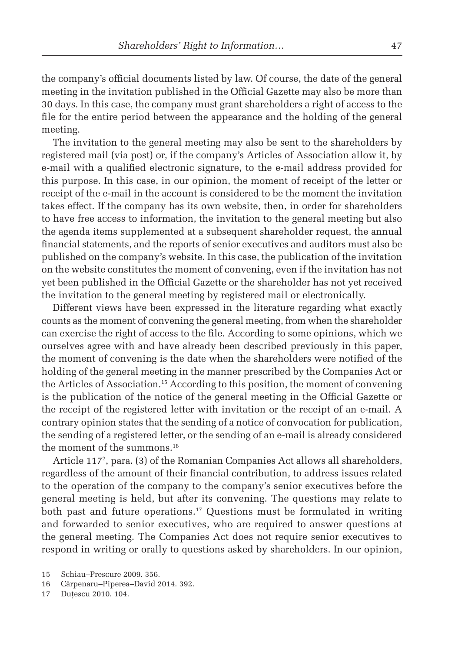the company's official documents listed by law. Of course, the date of the general meeting in the invitation published in the Official Gazette may also be more than 30 days. In this case, the company must grant shareholders a right of access to the file for the entire period between the appearance and the holding of the general meeting.

The invitation to the general meeting may also be sent to the shareholders by registered mail (via post) or, if the company's Articles of Association allow it, by e-mail with a qualified electronic signature, to the e-mail address provided for this purpose. In this case, in our opinion, the moment of receipt of the letter or receipt of the e-mail in the account is considered to be the moment the invitation takes effect. If the company has its own website, then, in order for shareholders to have free access to information, the invitation to the general meeting but also the agenda items supplemented at a subsequent shareholder request, the annual financial statements, and the reports of senior executives and auditors must also be published on the company's website. In this case, the publication of the invitation on the website constitutes the moment of convening, even if the invitation has not yet been published in the Official Gazette or the shareholder has not yet received the invitation to the general meeting by registered mail or electronically.

Different views have been expressed in the literature regarding what exactly counts as the moment of convening the general meeting, from when the shareholder can exercise the right of access to the file. According to some opinions, which we ourselves agree with and have already been described previously in this paper, the moment of convening is the date when the shareholders were notified of the holding of the general meeting in the manner prescribed by the Companies Act or the Articles of Association.15 According to this position, the moment of convening is the publication of the notice of the general meeting in the Official Gazette or the receipt of the registered letter with invitation or the receipt of an e-mail. A contrary opinion states that the sending of a notice of convocation for publication, the sending of a registered letter, or the sending of an e-mail is already considered the moment of the summons.<sup>16</sup>

Article 1172 , para. (3) of the Romanian Companies Act allows all shareholders, regardless of the amount of their financial contribution, to address issues related to the operation of the company to the company's senior executives before the general meeting is held, but after its convening. The questions may relate to both past and future operations.<sup>17</sup> Questions must be formulated in writing and forwarded to senior executives, who are required to answer questions at the general meeting. The Companies Act does not require senior executives to respond in writing or orally to questions asked by shareholders. In our opinion,

<sup>15</sup> Schiau–Prescure 2009. 356.

<sup>16</sup> Cărpenaru–Piperea–David 2014. 392.

<sup>17</sup> Dutescu 2010. 104.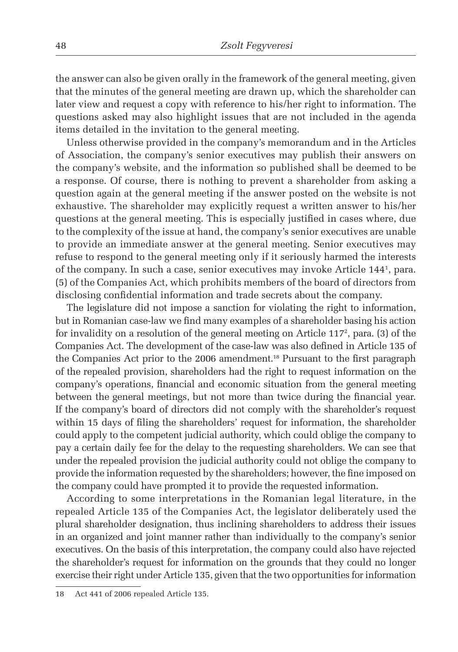the answer can also be given orally in the framework of the general meeting, given that the minutes of the general meeting are drawn up, which the shareholder can later view and request a copy with reference to his/her right to information. The questions asked may also highlight issues that are not included in the agenda items detailed in the invitation to the general meeting.

Unless otherwise provided in the company's memorandum and in the Articles of Association, the company's senior executives may publish their answers on the company's website, and the information so published shall be deemed to be a response. Of course, there is nothing to prevent a shareholder from asking a question again at the general meeting if the answer posted on the website is not exhaustive. The shareholder may explicitly request a written answer to his/her questions at the general meeting. This is especially justified in cases where, due to the complexity of the issue at hand, the company's senior executives are unable to provide an immediate answer at the general meeting. Senior executives may refuse to respond to the general meeting only if it seriously harmed the interests of the company. In such a case, senior executives may invoke Article 1441 , para. (5) of the Companies Act, which prohibits members of the board of directors from disclosing confidential information and trade secrets about the company.

The legislature did not impose a sanction for violating the right to information, but in Romanian case-law we find many examples of a shareholder basing his action for invalidity on a resolution of the general meeting on Article  $117^2$ , para. (3) of the Companies Act. The development of the case-law was also defined in Article 135 of the Companies Act prior to the 2006 amendment.<sup>18</sup> Pursuant to the first paragraph of the repealed provision, shareholders had the right to request information on the company's operations, financial and economic situation from the general meeting between the general meetings, but not more than twice during the financial year. If the company's board of directors did not comply with the shareholder's request within 15 days of filing the shareholders' request for information, the shareholder could apply to the competent judicial authority, which could oblige the company to pay a certain daily fee for the delay to the requesting shareholders. We can see that under the repealed provision the judicial authority could not oblige the company to provide the information requested by the shareholders; however, the fine imposed on the company could have prompted it to provide the requested information.

According to some interpretations in the Romanian legal literature, in the repealed Article 135 of the Companies Act, the legislator deliberately used the plural shareholder designation, thus inclining shareholders to address their issues in an organized and joint manner rather than individually to the company's senior executives. On the basis of this interpretation, the company could also have rejected the shareholder's request for information on the grounds that they could no longer exercise their right under Article 135, given that the two opportunities for information

<sup>18</sup> Act 441 of 2006 repealed Article 135.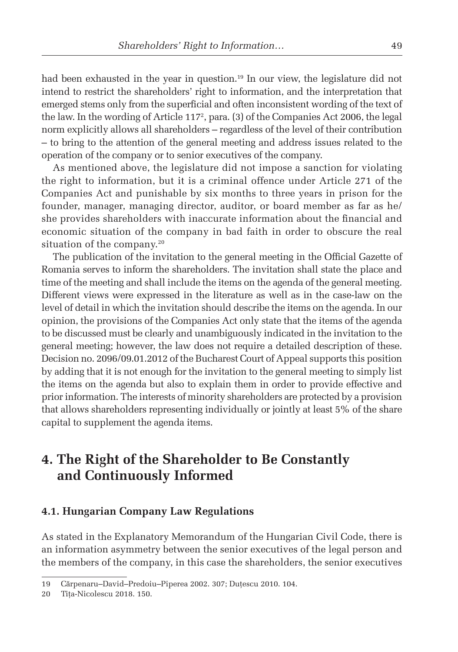had been exhausted in the year in question.<sup>19</sup> In our view, the legislature did not intend to restrict the shareholders' right to information, and the interpretation that emerged stems only from the superficial and often inconsistent wording of the text of the law. In the wording of Article 1172 , para. (3) of the Companies Act 2006, the legal norm explicitly allows all shareholders – regardless of the level of their contribution – to bring to the attention of the general meeting and address issues related to the operation of the company or to senior executives of the company.

As mentioned above, the legislature did not impose a sanction for violating the right to information, but it is a criminal offence under Article 271 of the Companies Act and punishable by six months to three years in prison for the founder, manager, managing director, auditor, or board member as far as he/ she provides shareholders with inaccurate information about the financial and economic situation of the company in bad faith in order to obscure the real situation of the company.<sup>20</sup>

The publication of the invitation to the general meeting in the Official Gazette of Romania serves to inform the shareholders. The invitation shall state the place and time of the meeting and shall include the items on the agenda of the general meeting. Different views were expressed in the literature as well as in the case-law on the level of detail in which the invitation should describe the items on the agenda. In our opinion, the provisions of the Companies Act only state that the items of the agenda to be discussed must be clearly and unambiguously indicated in the invitation to the general meeting; however, the law does not require a detailed description of these. Decision no. 2096/09.01.2012 of the Bucharest Court of Appeal supports this position by adding that it is not enough for the invitation to the general meeting to simply list the items on the agenda but also to explain them in order to provide effective and prior information. The interests of minority shareholders are protected by a provision that allows shareholders representing individually or jointly at least 5% of the share capital to supplement the agenda items.

### **4. The Right of the Shareholder to Be Constantly and Continuously Informed**

#### **4.1. Hungarian Company Law Regulations**

As stated in the Explanatory Memorandum of the Hungarian Civil Code, there is an information asymmetry between the senior executives of the legal person and the members of the company, in this case the shareholders, the senior executives

<sup>19</sup> Cărpenaru–David–Predoiu–Piperea 2002. 307; Duţescu 2010. 104.

<sup>20</sup> Tiţa-Nicolescu 2018. 150.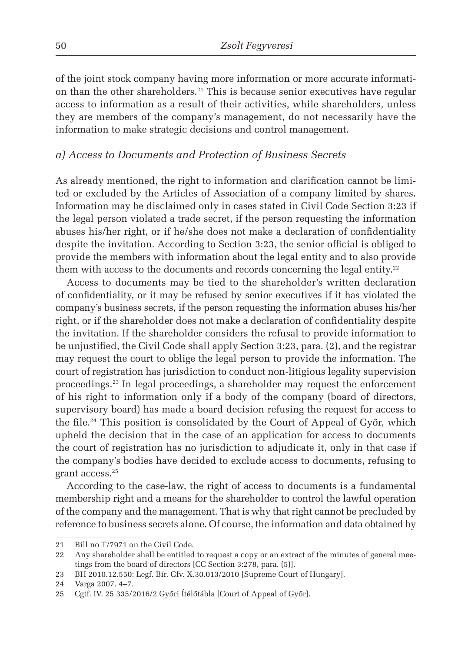of the joint stock company having more information or more accurate information than the other shareholders.21 This is because senior executives have regular access to information as a result of their activities, while shareholders, unless they are members of the company's management, do not necessarily have the information to make strategic decisions and control management.

#### *a) Access to Documents and Protection of Business Secrets*

As already mentioned, the right to information and clarification cannot be limited or excluded by the Articles of Association of a company limited by shares. Information may be disclaimed only in cases stated in Civil Code Section 3:23 if the legal person violated a trade secret, if the person requesting the information abuses his/her right, or if he/she does not make a declaration of confidentiality despite the invitation. According to Section 3:23, the senior official is obliged to provide the members with information about the legal entity and to also provide them with access to the documents and records concerning the legal entity.<sup>22</sup>

Access to documents may be tied to the shareholder's written declaration of confidentiality, or it may be refused by senior executives if it has violated the company's business secrets, if the person requesting the information abuses his/her right, or if the shareholder does not make a declaration of confidentiality despite the invitation. If the shareholder considers the refusal to provide information to be unjustified, the Civil Code shall apply Section 3:23, para. (2), and the registrar may request the court to oblige the legal person to provide the information. The court of registration has jurisdiction to conduct non-litigious legality supervision proceedings.23 In legal proceedings, a shareholder may request the enforcement of his right to information only if a body of the company (board of directors, supervisory board) has made a board decision refusing the request for access to the file.<sup>24</sup> This position is consolidated by the Court of Appeal of Győr, which upheld the decision that in the case of an application for access to documents the court of registration has no jurisdiction to adjudicate it, only in that case if the company's bodies have decided to exclude access to documents, refusing to grant access.25

According to the case-law, the right of access to documents is a fundamental membership right and a means for the shareholder to control the lawful operation of the company and the management. That is why that right cannot be precluded by reference to business secrets alone. Of course, the information and data obtained by

<sup>21</sup> Bill no T/7971 on the Civil Code.

<sup>22</sup> Any shareholder shall be entitled to request a copy or an extract of the minutes of general meetings from the board of directors [CC Section 3:278, para. (5)].

<sup>23</sup> BH 2010.12.550: Legf. Bír. Gfv. X.30.013/2010 [Supreme Court of Hungary].

<sup>24</sup> Varga 2007. 4–7.

<sup>25</sup> Cgtf. IV. 25 335/2016/2 Győri Ítélőtábla [Court of Appeal of Győr].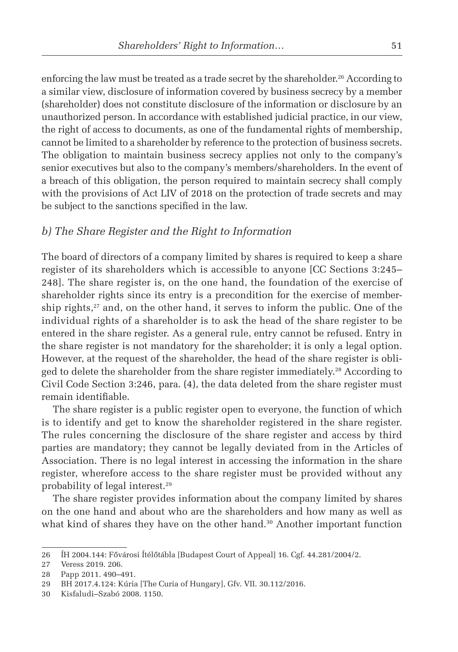enforcing the law must be treated as a trade secret by the shareholder.<sup>26</sup> According to a similar view, disclosure of information covered by business secrecy by a member (shareholder) does not constitute disclosure of the information or disclosure by an unauthorized person. In accordance with established judicial practice, in our view, the right of access to documents, as one of the fundamental rights of membership, cannot be limited to a shareholder by reference to the protection of business secrets. The obligation to maintain business secrecy applies not only to the company's senior executives but also to the company's members/shareholders. In the event of a breach of this obligation, the person required to maintain secrecy shall comply with the provisions of Act LIV of 2018 on the protection of trade secrets and may be subject to the sanctions specified in the law.

#### *b) The Share Register and the Right to Information*

The board of directors of a company limited by shares is required to keep a share register of its shareholders which is accessible to anyone [CC Sections 3:245– 248]. The share register is, on the one hand, the foundation of the exercise of shareholder rights since its entry is a precondition for the exercise of membership rights, $27$  and, on the other hand, it serves to inform the public. One of the individual rights of a shareholder is to ask the head of the share register to be entered in the share register. As a general rule, entry cannot be refused. Entry in the share register is not mandatory for the shareholder; it is only a legal option. However, at the request of the shareholder, the head of the share register is obliged to delete the shareholder from the share register immediately.28 According to Civil Code Section 3:246, para. (4), the data deleted from the share register must remain identifiable.

The share register is a public register open to everyone, the function of which is to identify and get to know the shareholder registered in the share register. The rules concerning the disclosure of the share register and access by third parties are mandatory; they cannot be legally deviated from in the Articles of Association. There is no legal interest in accessing the information in the share register, wherefore access to the share register must be provided without any probability of legal interest.29

The share register provides information about the company limited by shares on the one hand and about who are the shareholders and how many as well as what kind of shares they have on the other hand.<sup>30</sup> Another important function

<sup>26</sup> ÍH 2004.144: Fővárosi Ítélőtábla [Budapest Court of Appeal] 16. Cgf. 44.281/2004/2.

<sup>27</sup> Veress 2019. 206.

<sup>28</sup> Papp 2011. 490–491.

<sup>29</sup> BH 2017.4.124: Kúria [The Curia of Hungary], Gfv. VII. 30.112/2016.

<sup>30</sup> Kisfaludi–Szabó 2008. 1150.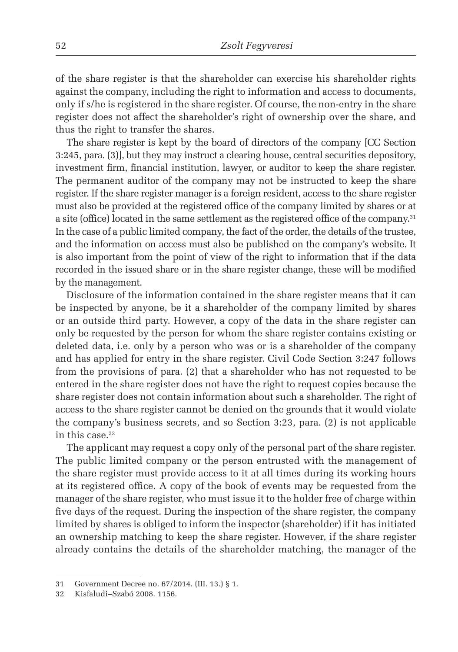of the share register is that the shareholder can exercise his shareholder rights against the company, including the right to information and access to documents, only if s/he is registered in the share register. Of course, the non-entry in the share register does not affect the shareholder's right of ownership over the share, and thus the right to transfer the shares.

The share register is kept by the board of directors of the company [CC Section 3:245, para. (3)], but they may instruct a clearing house, central securities depository, investment firm, financial institution, lawyer, or auditor to keep the share register. The permanent auditor of the company may not be instructed to keep the share register. If the share register manager is a foreign resident, access to the share register must also be provided at the registered office of the company limited by shares or at a site (office) located in the same settlement as the registered office of the company.<sup>31</sup> In the case of a public limited company, the fact of the order, the details of the trustee, and the information on access must also be published on the company's website. It is also important from the point of view of the right to information that if the data recorded in the issued share or in the share register change, these will be modified by the management.

Disclosure of the information contained in the share register means that it can be inspected by anyone, be it a shareholder of the company limited by shares or an outside third party. However, a copy of the data in the share register can only be requested by the person for whom the share register contains existing or deleted data, i.e. only by a person who was or is a shareholder of the company and has applied for entry in the share register. Civil Code Section 3:247 follows from the provisions of para. (2) that a shareholder who has not requested to be entered in the share register does not have the right to request copies because the share register does not contain information about such a shareholder. The right of access to the share register cannot be denied on the grounds that it would violate the company's business secrets, and so Section 3:23, para. (2) is not applicable in this case.<sup>32</sup>

The applicant may request a copy only of the personal part of the share register. The public limited company or the person entrusted with the management of the share register must provide access to it at all times during its working hours at its registered office. A copy of the book of events may be requested from the manager of the share register, who must issue it to the holder free of charge within five days of the request. During the inspection of the share register, the company limited by shares is obliged to inform the inspector (shareholder) if it has initiated an ownership matching to keep the share register. However, if the share register already contains the details of the shareholder matching, the manager of the

<sup>31</sup> Government Decree no. 67/2014. (III. 13.) § 1.

<sup>32</sup> Kisfaludi–Szabó 2008. 1156.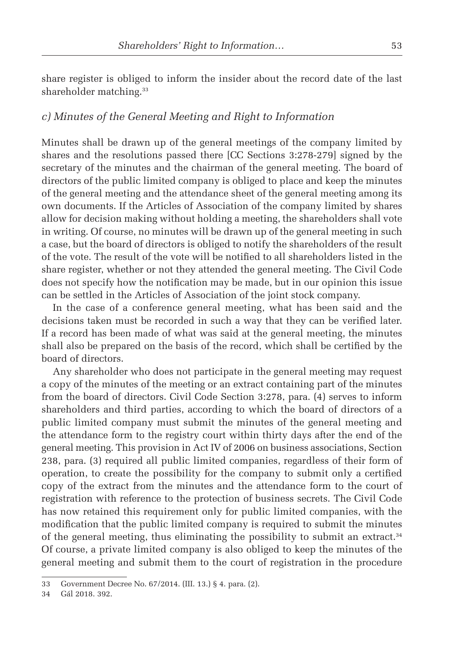share register is obliged to inform the insider about the record date of the last shareholder matching.<sup>33</sup>

#### *c) Minutes of the General Meeting and Right to Information*

Minutes shall be drawn up of the general meetings of the company limited by shares and the resolutions passed there [CC Sections 3:278-279] signed by the secretary of the minutes and the chairman of the general meeting. The board of directors of the public limited company is obliged to place and keep the minutes of the general meeting and the attendance sheet of the general meeting among its own documents. If the Articles of Association of the company limited by shares allow for decision making without holding a meeting, the shareholders shall vote in writing. Of course, no minutes will be drawn up of the general meeting in such a case, but the board of directors is obliged to notify the shareholders of the result of the vote. The result of the vote will be notified to all shareholders listed in the share register, whether or not they attended the general meeting. The Civil Code does not specify how the notification may be made, but in our opinion this issue can be settled in the Articles of Association of the joint stock company.

In the case of a conference general meeting, what has been said and the decisions taken must be recorded in such a way that they can be verified later. If a record has been made of what was said at the general meeting, the minutes shall also be prepared on the basis of the record, which shall be certified by the board of directors.

Any shareholder who does not participate in the general meeting may request a copy of the minutes of the meeting or an extract containing part of the minutes from the board of directors. Civil Code Section 3:278, para. (4) serves to inform shareholders and third parties, according to which the board of directors of a public limited company must submit the minutes of the general meeting and the attendance form to the registry court within thirty days after the end of the general meeting. This provision in Act IV of 2006 on business associations, Section 238, para. (3) required all public limited companies, regardless of their form of operation, to create the possibility for the company to submit only a certified copy of the extract from the minutes and the attendance form to the court of registration with reference to the protection of business secrets. The Civil Code has now retained this requirement only for public limited companies, with the modification that the public limited company is required to submit the minutes of the general meeting, thus eliminating the possibility to submit an extract.<sup>34</sup> Of course, a private limited company is also obliged to keep the minutes of the general meeting and submit them to the court of registration in the procedure

<sup>33</sup> Government Decree No. 67/2014. (III. 13.) § 4. para. (2).

<sup>34</sup> Gál 2018. 392.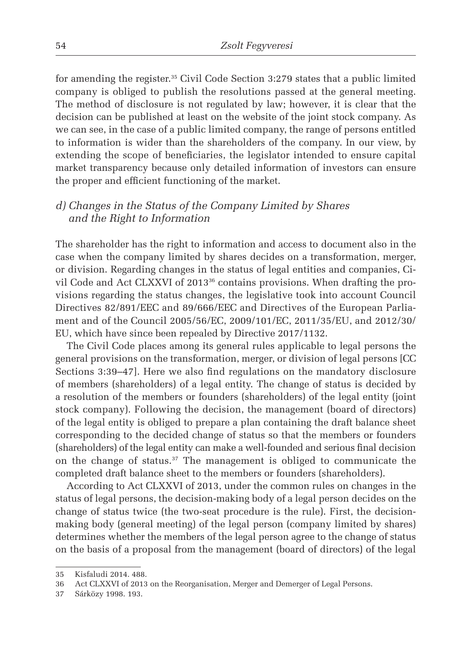for amending the register.35 Civil Code Section 3:279 states that a public limited company is obliged to publish the resolutions passed at the general meeting. The method of disclosure is not regulated by law; however, it is clear that the decision can be published at least on the website of the joint stock company. As we can see, in the case of a public limited company, the range of persons entitled to information is wider than the shareholders of the company. In our view, by extending the scope of beneficiaries, the legislator intended to ensure capital market transparency because only detailed information of investors can ensure the proper and efficient functioning of the market.

#### *d) Changes in the Status of the Company Limited by Shares and the Right to Information*

The shareholder has the right to information and access to document also in the case when the company limited by shares decides on a transformation, merger, or division. Regarding changes in the status of legal entities and companies, Civil Code and Act CLXXVI of 201336 contains provisions. When drafting the provisions regarding the status changes, the legislative took into account Council Directives 82/891/EEC and 89/666/EEC and Directives of the European Parliament and of the Council 2005/56/EC, 2009/101/EC, 2011/35/EU, and 2012/30/ EU, which have since been repealed by Directive 2017/1132.

The Civil Code places among its general rules applicable to legal persons the general provisions on the transformation, merger, or division of legal persons [CC Sections 3:39–47]. Here we also find regulations on the mandatory disclosure of members (shareholders) of a legal entity. The change of status is decided by a resolution of the members or founders (shareholders) of the legal entity (joint stock company). Following the decision, the management (board of directors) of the legal entity is obliged to prepare a plan containing the draft balance sheet corresponding to the decided change of status so that the members or founders (shareholders) of the legal entity can make a well-founded and serious final decision on the change of status.37 The management is obliged to communicate the completed draft balance sheet to the members or founders (shareholders).

According to Act CLXXVI of 2013, under the common rules on changes in the status of legal persons, the decision-making body of a legal person decides on the change of status twice (the two-seat procedure is the rule). First, the decisionmaking body (general meeting) of the legal person (company limited by shares) determines whether the members of the legal person agree to the change of status on the basis of a proposal from the management (board of directors) of the legal

<sup>35</sup> Kisfaludi 2014. 488.

<sup>36</sup> Act CLXXVI of 2013 on the Reorganisation, Merger and Demerger of Legal Persons.

<sup>37</sup> Sárközy 1998. 193.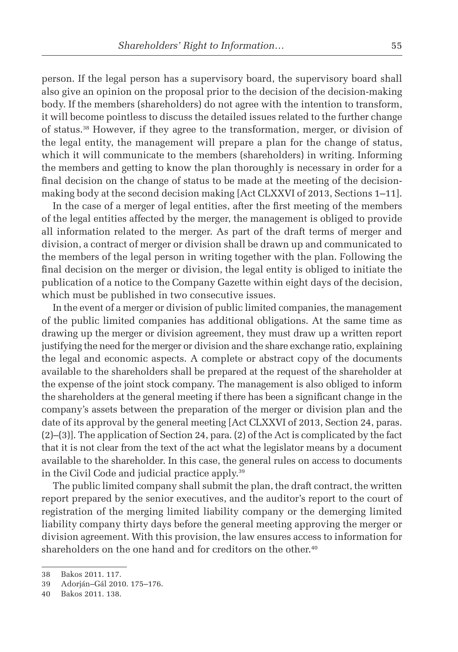person. If the legal person has a supervisory board, the supervisory board shall also give an opinion on the proposal prior to the decision of the decision-making body. If the members (shareholders) do not agree with the intention to transform, it will become pointless to discuss the detailed issues related to the further change of status.38 However, if they agree to the transformation, merger, or division of the legal entity, the management will prepare a plan for the change of status, which it will communicate to the members (shareholders) in writing. Informing the members and getting to know the plan thoroughly is necessary in order for a final decision on the change of status to be made at the meeting of the decisionmaking body at the second decision making [Act CLXXVI of 2013, Sections 1–11].

In the case of a merger of legal entities, after the first meeting of the members of the legal entities affected by the merger, the management is obliged to provide all information related to the merger. As part of the draft terms of merger and division, a contract of merger or division shall be drawn up and communicated to the members of the legal person in writing together with the plan. Following the final decision on the merger or division, the legal entity is obliged to initiate the publication of a notice to the Company Gazette within eight days of the decision, which must be published in two consecutive issues.

In the event of a merger or division of public limited companies, the management of the public limited companies has additional obligations. At the same time as drawing up the merger or division agreement, they must draw up a written report justifying the need for the merger or division and the share exchange ratio, explaining the legal and economic aspects. A complete or abstract copy of the documents available to the shareholders shall be prepared at the request of the shareholder at the expense of the joint stock company. The management is also obliged to inform the shareholders at the general meeting if there has been a significant change in the company's assets between the preparation of the merger or division plan and the date of its approval by the general meeting [Act CLXXVI of 2013, Section 24, paras. (2)–(3)]. The application of Section 24, para. (2) of the Act is complicated by the fact that it is not clear from the text of the act what the legislator means by a document available to the shareholder. In this case, the general rules on access to documents in the Civil Code and judicial practice apply.39

The public limited company shall submit the plan, the draft contract, the written report prepared by the senior executives, and the auditor's report to the court of registration of the merging limited liability company or the demerging limited liability company thirty days before the general meeting approving the merger or division agreement. With this provision, the law ensures access to information for shareholders on the one hand and for creditors on the other.<sup>40</sup>

<sup>38</sup> Bakos 2011. 117.

<sup>39</sup> Adorján–Gál 2010. 175–176.

<sup>40</sup> Bakos 2011. 138.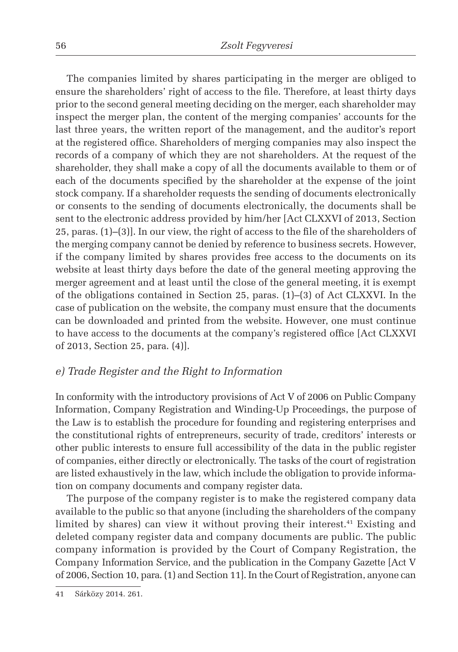The companies limited by shares participating in the merger are obliged to ensure the shareholders' right of access to the file. Therefore, at least thirty days prior to the second general meeting deciding on the merger, each shareholder may inspect the merger plan, the content of the merging companies' accounts for the last three years, the written report of the management, and the auditor's report at the registered office. Shareholders of merging companies may also inspect the records of a company of which they are not shareholders. At the request of the shareholder, they shall make a copy of all the documents available to them or of each of the documents specified by the shareholder at the expense of the joint stock company. If a shareholder requests the sending of documents electronically or consents to the sending of documents electronically, the documents shall be sent to the electronic address provided by him/her [Act CLXXVI of 2013, Section 25, paras. (1)–(3)]. In our view, the right of access to the file of the shareholders of the merging company cannot be denied by reference to business secrets. However, if the company limited by shares provides free access to the documents on its website at least thirty days before the date of the general meeting approving the merger agreement and at least until the close of the general meeting, it is exempt of the obligations contained in Section 25, paras. (1)–(3) of Act CLXXVI. In the case of publication on the website, the company must ensure that the documents can be downloaded and printed from the website. However, one must continue to have access to the documents at the company's registered office [Act CLXXVI of 2013, Section 25, para. (4)].

#### *e) Trade Register and the Right to Information*

In conformity with the introductory provisions of Act V of 2006 on Public Company Information, Company Registration and Winding-Up Proceedings, the purpose of the Law is to establish the procedure for founding and registering enterprises and the constitutional rights of entrepreneurs, security of trade, creditors' interests or other public interests to ensure full accessibility of the data in the public register of companies, either directly or electronically. The tasks of the court of registration are listed exhaustively in the law, which include the obligation to provide information on company documents and company register data.

The purpose of the company register is to make the registered company data available to the public so that anyone (including the shareholders of the company limited by shares) can view it without proving their interest.<sup>41</sup> Existing and deleted company register data and company documents are public. The public company information is provided by the Court of Company Registration, the Company Information Service, and the publication in the Company Gazette [Act V of 2006, Section 10, para. (1) and Section 11]. In the Court of Registration, anyone can

<sup>41</sup> Sárközy 2014. 261.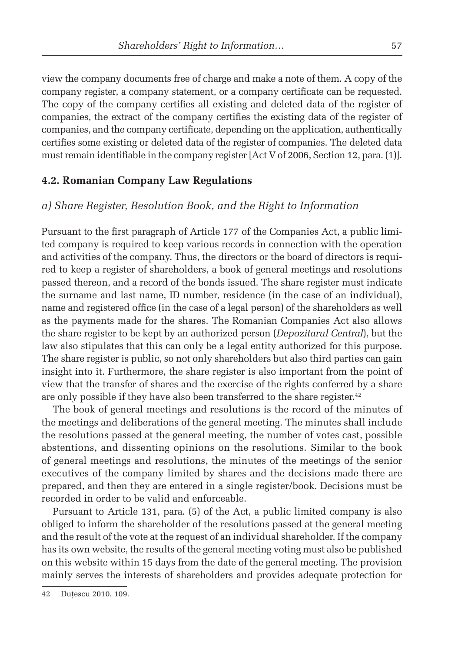view the company documents free of charge and make a note of them. A copy of the company register, a company statement, or a company certificate can be requested. The copy of the company certifies all existing and deleted data of the register of companies, the extract of the company certifies the existing data of the register of companies, and the company certificate, depending on the application, authentically certifies some existing or deleted data of the register of companies. The deleted data must remain identifiable in the company register [Act V of 2006, Section 12, para. (1)].

#### **4.2. Romanian Company Law Regulations**

#### *a) Share Register, Resolution Book, and the Right to Information*

Pursuant to the first paragraph of Article 177 of the Companies Act, a public limited company is required to keep various records in connection with the operation and activities of the company. Thus, the directors or the board of directors is required to keep a register of shareholders, a book of general meetings and resolutions passed thereon, and a record of the bonds issued. The share register must indicate the surname and last name, ID number, residence (in the case of an individual), name and registered office (in the case of a legal person) of the shareholders as well as the payments made for the shares. The Romanian Companies Act also allows the share register to be kept by an authorized person (*Depozitarul Central*), but the law also stipulates that this can only be a legal entity authorized for this purpose. The share register is public, so not only shareholders but also third parties can gain insight into it. Furthermore, the share register is also important from the point of view that the transfer of shares and the exercise of the rights conferred by a share are only possible if they have also been transferred to the share register.<sup>42</sup>

The book of general meetings and resolutions is the record of the minutes of the meetings and deliberations of the general meeting. The minutes shall include the resolutions passed at the general meeting, the number of votes cast, possible abstentions, and dissenting opinions on the resolutions. Similar to the book of general meetings and resolutions, the minutes of the meetings of the senior executives of the company limited by shares and the decisions made there are prepared, and then they are entered in a single register/book. Decisions must be recorded in order to be valid and enforceable.

Pursuant to Article 131, para. (5) of the Act, a public limited company is also obliged to inform the shareholder of the resolutions passed at the general meeting and the result of the vote at the request of an individual shareholder. If the company has its own website, the results of the general meeting voting must also be published on this website within 15 days from the date of the general meeting. The provision mainly serves the interests of shareholders and provides adequate protection for

<sup>42</sup> Dutescu 2010. 109.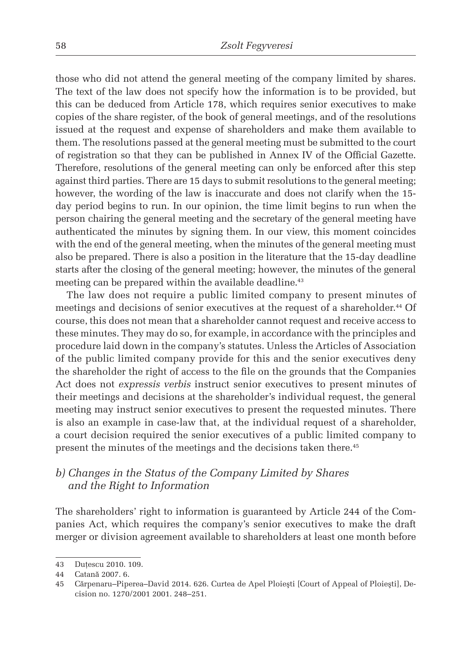those who did not attend the general meeting of the company limited by shares. The text of the law does not specify how the information is to be provided, but this can be deduced from Article 178, which requires senior executives to make copies of the share register, of the book of general meetings, and of the resolutions issued at the request and expense of shareholders and make them available to them. The resolutions passed at the general meeting must be submitted to the court of registration so that they can be published in Annex IV of the Official Gazette. Therefore, resolutions of the general meeting can only be enforced after this step against third parties. There are 15 days to submit resolutions to the general meeting; however, the wording of the law is inaccurate and does not clarify when the 15 day period begins to run. In our opinion, the time limit begins to run when the person chairing the general meeting and the secretary of the general meeting have authenticated the minutes by signing them. In our view, this moment coincides with the end of the general meeting, when the minutes of the general meeting must also be prepared. There is also a position in the literature that the 15-day deadline starts after the closing of the general meeting; however, the minutes of the general meeting can be prepared within the available deadline.<sup>43</sup>

The law does not require a public limited company to present minutes of meetings and decisions of senior executives at the request of a shareholder.<sup>44</sup> Of course, this does not mean that a shareholder cannot request and receive access to these minutes. They may do so, for example, in accordance with the principles and procedure laid down in the company's statutes. Unless the Articles of Association of the public limited company provide for this and the senior executives deny the shareholder the right of access to the file on the grounds that the Companies Act does not *expressis verbis* instruct senior executives to present minutes of their meetings and decisions at the shareholder's individual request, the general meeting may instruct senior executives to present the requested minutes. There is also an example in case-law that, at the individual request of a shareholder, a court decision required the senior executives of a public limited company to present the minutes of the meetings and the decisions taken there.<sup>45</sup>

#### *b) Changes in the Status of the Company Limited by Shares and the Right to Information*

The shareholders' right to information is guaranteed by Article 244 of the Companies Act, which requires the company's senior executives to make the draft merger or division agreement available to shareholders at least one month before

<sup>43</sup> Dutescu 2010. 109.

<sup>44</sup> Catană 2007. 6.

<sup>45</sup> Cărpenaru–Piperea–David 2014. 626. Curtea de Apel Ploieşti [Court of Appeal of Ploieşti], Decision no. 1270/2001 2001. 248–251.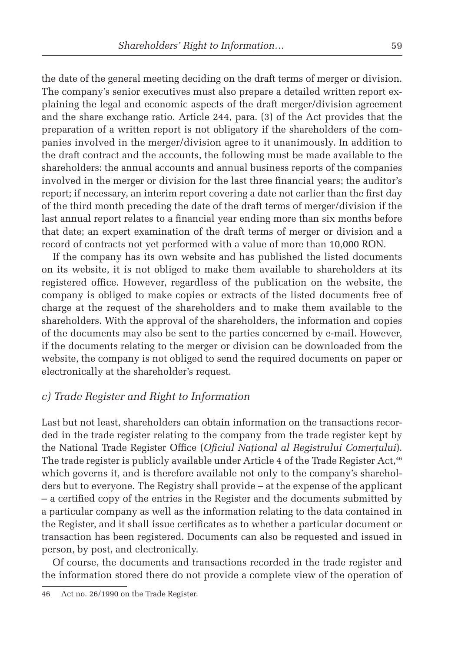the date of the general meeting deciding on the draft terms of merger or division. The company's senior executives must also prepare a detailed written report explaining the legal and economic aspects of the draft merger/division agreement and the share exchange ratio. Article 244, para. (3) of the Act provides that the preparation of a written report is not obligatory if the shareholders of the companies involved in the merger/division agree to it unanimously. In addition to the draft contract and the accounts, the following must be made available to the shareholders: the annual accounts and annual business reports of the companies involved in the merger or division for the last three financial years; the auditor's report; if necessary, an interim report covering a date not earlier than the first day of the third month preceding the date of the draft terms of merger/division if the last annual report relates to a financial year ending more than six months before that date; an expert examination of the draft terms of merger or division and a record of contracts not yet performed with a value of more than 10,000 RON.

If the company has its own website and has published the listed documents on its website, it is not obliged to make them available to shareholders at its registered office. However, regardless of the publication on the website, the company is obliged to make copies or extracts of the listed documents free of charge at the request of the shareholders and to make them available to the shareholders. With the approval of the shareholders, the information and copies of the documents may also be sent to the parties concerned by e-mail. However, if the documents relating to the merger or division can be downloaded from the website, the company is not obliged to send the required documents on paper or electronically at the shareholder's request.

#### *c) Trade Register and Right to Information*

Last but not least, shareholders can obtain information on the transactions recorded in the trade register relating to the company from the trade register kept by the National Trade Register Office (*Oficiul Național al Registrului Comerțului*). The trade register is publicly available under Article 4 of the Trade Register Act,<sup>46</sup> which governs it, and is therefore available not only to the company's shareholders but to everyone. The Registry shall provide – at the expense of the applicant  $-$  a certified copy of the entries in the Register and the documents submitted by a particular company as well as the information relating to the data contained in the Register, and it shall issue certificates as to whether a particular document or transaction has been registered. Documents can also be requested and issued in person, by post, and electronically.

Of course, the documents and transactions recorded in the trade register and the information stored there do not provide a complete view of the operation of

<sup>46</sup> Act no. 26/1990 on the Trade Register.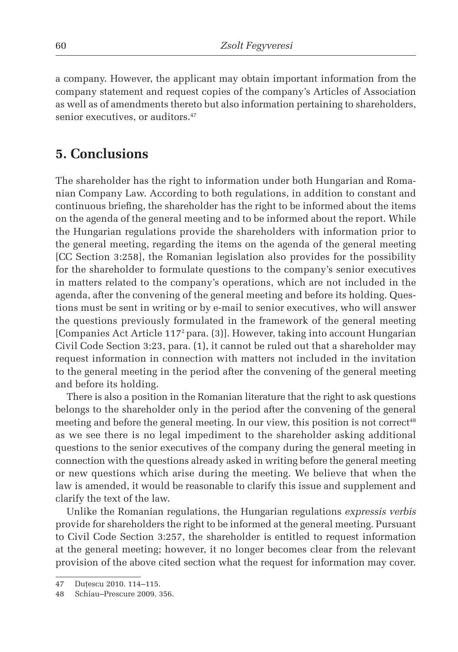a company. However, the applicant may obtain important information from the company statement and request copies of the company's Articles of Association as well as of amendments thereto but also information pertaining to shareholders, senior executives, or auditors.<sup>47</sup>

### **5. Conclusions**

The shareholder has the right to information under both Hungarian and Romanian Company Law. According to both regulations, in addition to constant and continuous briefing, the shareholder has the right to be informed about the items on the agenda of the general meeting and to be informed about the report. While the Hungarian regulations provide the shareholders with information prior to the general meeting, regarding the items on the agenda of the general meeting [CC Section 3:258], the Romanian legislation also provides for the possibility for the shareholder to formulate questions to the company's senior executives in matters related to the company's operations, which are not included in the agenda, after the convening of the general meeting and before its holding. Questions must be sent in writing or by e-mail to senior executives, who will answer the questions previously formulated in the framework of the general meeting [Companies Act Article 1172 para. (3)]. However, taking into account Hungarian Civil Code Section 3:23, para. (1), it cannot be ruled out that a shareholder may request information in connection with matters not included in the invitation to the general meeting in the period after the convening of the general meeting and before its holding.

There is also a position in the Romanian literature that the right to ask questions belongs to the shareholder only in the period after the convening of the general meeting and before the general meeting. In our view, this position is not correct<sup>48</sup> as we see there is no legal impediment to the shareholder asking additional questions to the senior executives of the company during the general meeting in connection with the questions already asked in writing before the general meeting or new questions which arise during the meeting. We believe that when the law is amended, it would be reasonable to clarify this issue and supplement and clarify the text of the law.

Unlike the Romanian regulations, the Hungarian regulations *expressis verbis*  provide for shareholders the right to be informed at the general meeting. Pursuant to Civil Code Section 3:257, the shareholder is entitled to request information at the general meeting; however, it no longer becomes clear from the relevant provision of the above cited section what the request for information may cover.

<sup>47</sup> Dutescu 2010. 114-115.

<sup>48</sup> Schiau–Prescure 2009. 356.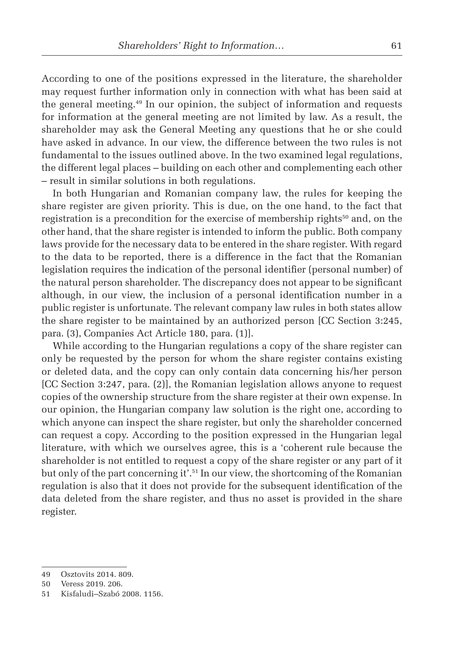According to one of the positions expressed in the literature, the shareholder may request further information only in connection with what has been said at the general meeting.49 In our opinion, the subject of information and requests for information at the general meeting are not limited by law. As a result, the shareholder may ask the General Meeting any questions that he or she could have asked in advance. In our view, the difference between the two rules is not fundamental to the issues outlined above. In the two examined legal regulations, the different legal places – building on each other and complementing each other – result in similar solutions in both regulations.

In both Hungarian and Romanian company law, the rules for keeping the share register are given priority. This is due, on the one hand, to the fact that registration is a precondition for the exercise of membership rights<sup>50</sup> and, on the other hand, that the share register is intended to inform the public. Both company laws provide for the necessary data to be entered in the share register. With regard to the data to be reported, there is a difference in the fact that the Romanian legislation requires the indication of the personal identifier (personal number) of the natural person shareholder. The discrepancy does not appear to be significant although, in our view, the inclusion of a personal identification number in a public register is unfortunate. The relevant company law rules in both states allow the share register to be maintained by an authorized person [CC Section 3:245, para. (3), Companies Act Article 180, para. (1)].

While according to the Hungarian regulations a copy of the share register can only be requested by the person for whom the share register contains existing or deleted data, and the copy can only contain data concerning his/her person [CC Section 3:247, para. (2)], the Romanian legislation allows anyone to request copies of the ownership structure from the share register at their own expense. In our opinion, the Hungarian company law solution is the right one, according to which anyone can inspect the share register, but only the shareholder concerned can request a copy. According to the position expressed in the Hungarian legal literature, with which we ourselves agree, this is a 'coherent rule because the shareholder is not entitled to request a copy of the share register or any part of it but only of the part concerning it'.51 In our view, the shortcoming of the Romanian regulation is also that it does not provide for the subsequent identification of the data deleted from the share register, and thus no asset is provided in the share register.

<sup>49</sup> Osztovits 2014. 809.

<sup>50</sup> Veress 2019. 206.

<sup>51</sup> Kisfaludi–Szabó 2008. 1156.